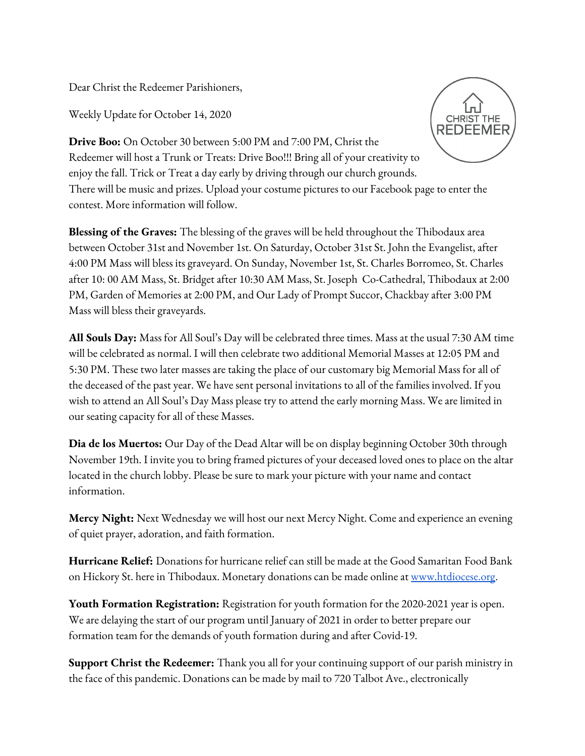Dear Christ the Redeemer Parishioners,

Weekly Update for October 14, 2020



**Drive Boo:** On October 30 between 5:00 PM and 7:00 PM, Christ the Redeemer will host a Trunk or Treats: Drive Boo!!! Bring all of your creativity to enjoy the fall. Trick or Treat a day early by driving through our church grounds. There will be music and prizes. Upload your costume pictures to our Facebook page to enter the contest. More information will follow.

**Blessing of the Graves:** The blessing of the graves will be held throughout the Thibodaux area between October 31st and November 1st. On Saturday, October 31st St. John the Evangelist, after 4:00 PM Mass will bless its graveyard. On Sunday, November 1st, St. Charles Borromeo, St. Charles after 10: 00 AM Mass, St. Bridget after 10:30 AM Mass, St. Joseph Co-Cathedral, Thibodaux at 2:00 PM, Garden of Memories at 2:00 PM, and Our Lady of Prompt Succor, Chackbay after 3:00 PM Mass will bless their graveyards.

**All Souls Day:** Mass for All Soul's Day will be celebrated three times. Mass at the usual 7:30 AM time will be celebrated as normal. I will then celebrate two additional Memorial Masses at 12:05 PM and 5:30 PM. These two later masses are taking the place of our customary big Memorial Mass for all of the deceased of the past year. We have sent personal invitations to all of the families involved. If you wish to attend an All Soul's Day Mass please try to attend the early morning Mass. We are limited in our seating capacity for all of these Masses.

**Dia de los Muertos:** Our Day of the Dead Altar will be on display beginning October 30th through November 19th. I invite you to bring framed pictures of your deceased loved ones to place on the altar located in the church lobby. Please be sure to mark your picture with your name and contact information.

**Mercy Night:** Next Wednesday we will host our next Mercy Night. Come and experience an evening of quiet prayer, adoration, and faith formation.

**Hurricane Relief:** Donations for hurricane relief can still be made at the Good Samaritan Food Bank on Hickory St. here in Thibodaux. Monetary donations can be made online at [www.htdiocese.org](http://www.htdiocese.org/).

**Youth Formation Registration:** Registration for youth formation for the 2020-2021 year is open. We are delaying the start of our program until January of 2021 in order to better prepare our formation team for the demands of youth formation during and after Covid-19.

**Support Christ the Redeemer:** Thank you all for your continuing support of our parish ministry in the face of this pandemic. Donations can be made by mail to 720 Talbot Ave., electronically